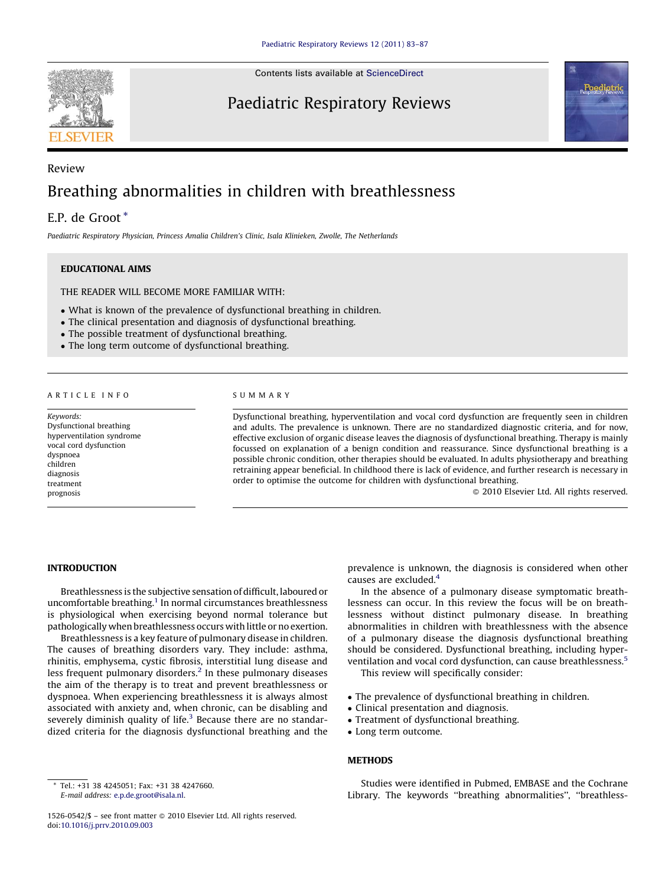

Contents lists available at [ScienceDirect](http://www.sciencedirect.com/science/journal/15260542)

# Paediatric Respiratory Reviews



# Review Breathing abnormalities in children with breathlessness

# E.P. de Groot \*

Paediatric Respiratory Physician, Princess Amalia Children's Clinic, Isala Klinieken, Zwolle, The Netherlands

# EDUCATIONAL AIMS

THE READER WILL BECOME MORE FAMILIAR WITH:

- What is known of the prevalence of dysfunctional breathing in children.
- The clinical presentation and diagnosis of dysfunctional breathing.
- The possible treatment of dysfunctional breathing.
- The long term outcome of dysfunctional breathing.

#### ARTICLE INFO

Keywords: Dysfunctional breathing hyperventilation syndrome vocal cord dysfunction dyspnoea children diagnosis treatment prognosis

#### SUMMARY

Dysfunctional breathing, hyperventilation and vocal cord dysfunction are frequently seen in children and adults. The prevalence is unknown. There are no standardized diagnostic criteria, and for now, effective exclusion of organic disease leaves the diagnosis of dysfunctional breathing. Therapy is mainly focussed on explanation of a benign condition and reassurance. Since dysfunctional breathing is a possible chronic condition, other therapies should be evaluated. In adults physiotherapy and breathing retraining appear beneficial. In childhood there is lack of evidence, and further research is necessary in order to optimise the outcome for children with dysfunctional breathing.

- 2010 Elsevier Ltd. All rights reserved.

#### INTRODUCTION

Breathlessness is the subjective sensation of difficult, laboured or uncomfortable breathing.<sup>1</sup> In normal circumstances breathlessness is physiological when exercising beyond normal tolerance but pathologically when breathlessness occurs with little or no exertion.

Breathlessness is a key feature of pulmonary disease in children. The causes of breathing disorders vary. They include: asthma, rhinitis, emphysema, cystic fibrosis, interstitial lung disease and less frequent pulmonary disorders.<sup>2</sup> In these pulmonary diseases the aim of the therapy is to treat and prevent breathlessness or dyspnoea. When experiencing breathlessness it is always almost associated with anxiety and, when chronic, can be disabling and severely diminish quality of life.<sup>[3](#page-3-0)</sup> Because there are no standardized criteria for the diagnosis dysfunctional breathing and the

prevalence is unknown, the diagnosis is considered when other causes are excluded.[4](#page-3-0)

In the absence of a pulmonary disease symptomatic breathlessness can occur. In this review the focus will be on breathlessness without distinct pulmonary disease. In breathing abnormalities in children with breathlessness with the absence of a pulmonary disease the diagnosis dysfunctional breathing should be considered. Dysfunctional breathing, including hyper-ventilation and vocal cord dysfunction, can cause breathlessness.<sup>[5](#page-3-0)</sup> This review will specifically consider:

- The prevalence of dysfunctional breathing in children.
- Clinical presentation and diagnosis.
- Treatment of dysfunctional breathing.
- Long term outcome.

# METHODS

Studies were identified in Pubmed, EMBASE and the Cochrane Library. The keywords ''breathing abnormalities'', ''breathless-

Tel.: +31 38 4245051; Fax: +31 38 4247660. E-mail address: [e.p.de.groot@isala.nl.](mailto:e.p.de.groot@isala.nl)

<sup>1526-0542/\$ -</sup> see front matter @ 2010 Elsevier Ltd. All rights reserved. doi:[10.1016/j.prrv.2010.09.003](http://dx.doi.org/10.1016/j.prrv.2010.09.003)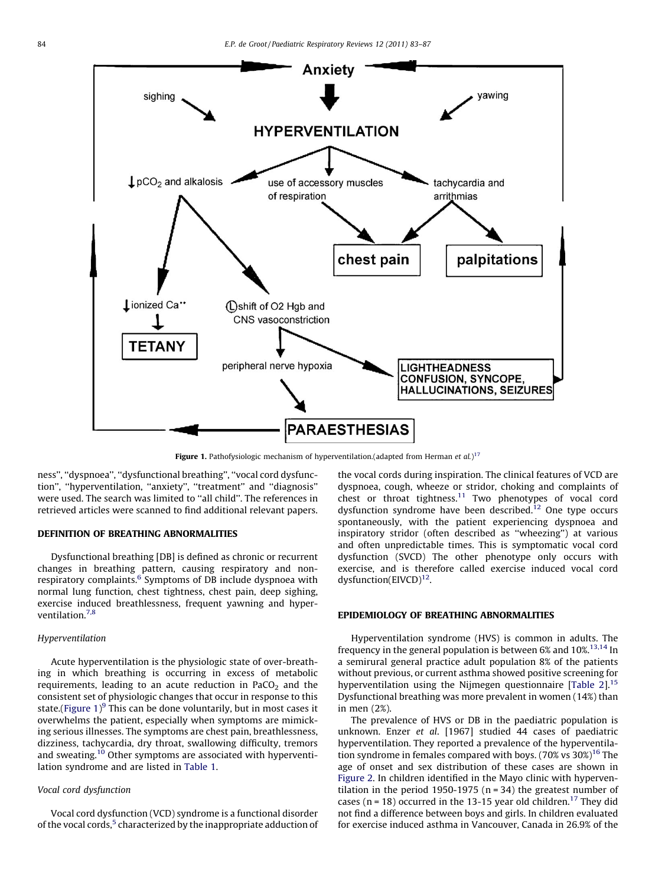

Figure 1. Pathofysiologic mechanism of hyperventilation.(adapted from Herman et al.)<sup>[17](#page-4-0)</sup>

ness'', ''dyspnoea'', ''dysfunctional breathing'', ''vocal cord dysfunction'', ''hyperventilation, ''anxiety'', ''treatment'' and ''diagnosis'' were used. The search was limited to ''all child''. The references in retrieved articles were scanned to find additional relevant papers.

### DEFINITION OF BREATHING ABNORMALITIES

Dysfunctional breathing [DB] is defined as chronic or recurrent changes in breathing pattern, causing respiratory and nonrespiratory complaints.<sup>6</sup> Symptoms of DB include dyspnoea with normal lung function, chest tightness, chest pain, deep sighing, exercise induced breathlessness, frequent yawning and hyperventilation.[7,8](#page-3-0)

#### Hyperventilation

Acute hyperventilation is the physiologic state of over-breathing in which breathing is occurring in excess of metabolic requirements, leading to an acute reduction in  $PaCO<sub>2</sub>$  and the consistent set of physiologic changes that occur in response to this state.(Figure 1)<sup>[9](#page-3-0)</sup> This can be done voluntarily, but in most cases it overwhelms the patient, especially when symptoms are mimicking serious illnesses. The symptoms are chest pain, breathlessness, dizziness, tachycardia, dry throat, swallowing difficulty, tremors and sweating.<sup>[10](#page-3-0)</sup> Other symptoms are associated with hyperventilation syndrome and are listed in [Table 1](#page-2-0).

#### Vocal cord dysfunction

Vocal cord dysfunction (VCD) syndrome is a functional disorder of the vocal cords,<sup>[5](#page-3-0)</sup> characterized by the inappropriate adduction of the vocal cords during inspiration. The clinical features of VCD are dyspnoea, cough, wheeze or stridor, choking and complaints of chest or throat tightness.<sup>11</sup> Two phenotypes of vocal cord dysfunction syndrome have been described.<sup>[12](#page-3-0)</sup> One type occurs spontaneously, with the patient experiencing dyspnoea and inspiratory stridor (often described as ''wheezing'') at various and often unpredictable times. This is symptomatic vocal cord dysfunction (SVCD) The other phenotype only occurs with exercise, and is therefore called exercise induced vocal cord dysfunction( $EIVCD$ )<sup>12</sup>.

# EPIDEMIOLOGY OF BREATHING ABNORMALITIES

Hyperventilation syndrome (HVS) is common in adults. The frequency in the general population is between  $6\%$  and  $10\%$ .<sup>13,14</sup> In a semirural general practice adult population 8% of the patients without previous, or current asthma showed positive screening for hyperventilation using the Nijmegen questionnaire [\[Table 2](#page-2-0)]. $15$ Dysfunctional breathing was more prevalent in women (14%) than in men (2%).

The prevalence of HVS or DB in the paediatric population is unknown. Enzer et al. [1967] studied 44 cases of paediatric hyperventilation. They reported a prevalence of the hyperventilation syndrome in females compared with boys. (70% vs  $30\%$ )<sup>[16](#page-4-0)</sup> The age of onset and sex distribution of these cases are shown in [Figure 2.](#page-2-0) In children identified in the Mayo clinic with hyperventilation in the period 1950-1975 ( $n = 34$ ) the greatest number of cases ( $n = 18$ ) occurred in the 13-15 year old children.<sup>[17](#page-4-0)</sup> They did not find a difference between boys and girls. In children evaluated for exercise induced asthma in Vancouver, Canada in 26.9% of the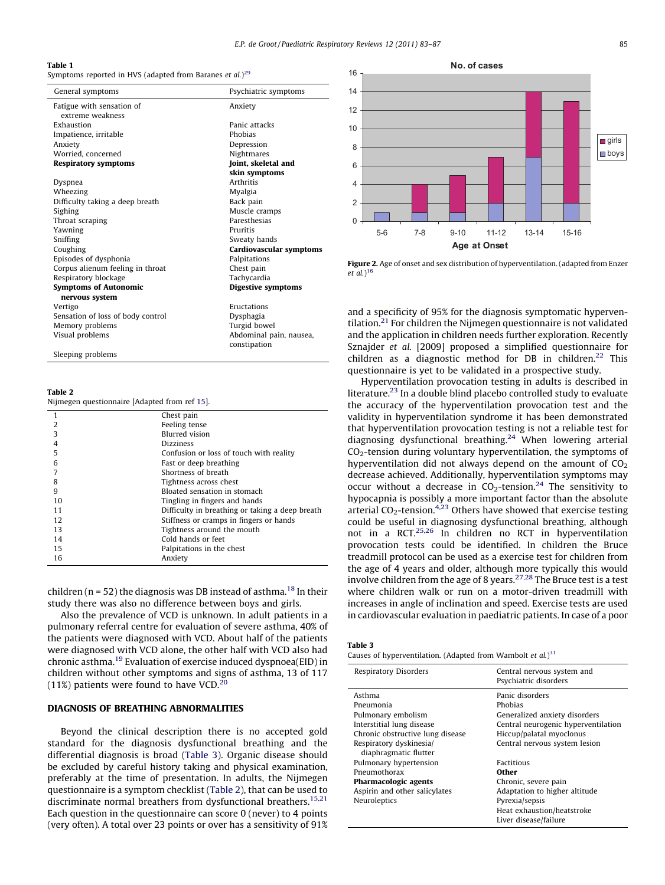E.P. de Groot / Paediatric Respiratory Reviews 12 (2011) 83–87 85

#### <span id="page-2-0"></span>Table 1

Symptoms reported in HVS (adapted from Baranes *et al.*) $^{29}$  $^{29}$  $^{29}$ 

| General symptoms                  | Psychiatric symptoms    |
|-----------------------------------|-------------------------|
| Fatigue with sensation of         | Anxiety                 |
| extreme weakness                  |                         |
| Exhaustion                        | Panic attacks           |
| Impatience, irritable             | Phobias                 |
| Anxiety                           | Depression              |
| Worried, concerned                | Nightmares              |
| <b>Respiratory symptoms</b>       | Joint, skeletal and     |
|                                   | skin symptoms           |
| Dyspnea                           | <b>Arthritis</b>        |
| Wheezing                          | Myalgia                 |
| Difficulty taking a deep breath   | Back pain               |
| Sighing                           | Muscle cramps           |
| Throat scraping                   | Paresthesias            |
| Yawning                           | Pruritis                |
| Sniffing                          | Sweaty hands            |
| Coughing                          | Cardiovascular symptoms |
| Episodes of dysphonia             | Palpitations            |
| Corpus alienum feeling in throat  | Chest pain              |
| Respiratory blockage              | Tachycardia             |
| <b>Symptoms of Autonomic</b>      | Digestive symptoms      |
| nervous system                    |                         |
| Vertigo                           | Eructations             |
| Sensation of loss of body control | Dysphagia               |
| Memory problems                   | Turgid bowel            |
| Visual problems                   | Abdominal pain, nausea, |
|                                   | constipation            |
| Sleeping problems                 |                         |

Table 2

Nijmegen questionnaire [Adapted from ref [15](#page-4-0)].

| 1  | Chest pain                                      |
|----|-------------------------------------------------|
| 2  | Feeling tense                                   |
| 3  | <b>Blurred</b> vision                           |
| 4  | <b>Dizziness</b>                                |
| 5  | Confusion or loss of touch with reality         |
| 6  | Fast or deep breathing                          |
|    | Shortness of breath                             |
| 8  | Tightness across chest                          |
| 9  | Bloated sensation in stomach                    |
| 10 | Tingling in fingers and hands                   |
| 11 | Difficulty in breathing or taking a deep breath |
| 12 | Stiffness or cramps in fingers or hands         |
| 13 | Tightness around the mouth                      |
| 14 | Cold hands or feet                              |
| 15 | Palpitations in the chest                       |
| 16 | Anxiety                                         |
|    |                                                 |

children ( $n = 52$ ) the diagnosis was DB instead of asthma.<sup>[18](#page-4-0)</sup> In their study there was also no difference between boys and girls.

Also the prevalence of VCD is unknown. In adult patients in a pulmonary referral centre for evaluation of severe asthma, 40% of the patients were diagnosed with VCD. About half of the patients were diagnosed with VCD alone, the other half with VCD also had chronic asthma.[19](#page-4-0) Evaluation of exercise induced dyspnoea(EID) in children without other symptoms and signs of asthma, 13 of 117 (11%) patients were found to have VCD.<sup>[20](#page-4-0)</sup>

# DIAGNOSIS OF BREATHING ABNORMALITIES

Beyond the clinical description there is no accepted gold standard for the diagnosis dysfunctional breathing and the differential diagnosis is broad (Table 3). Organic disease should be excluded by careful history taking and physical examination, preferably at the time of presentation. In adults, the Nijmegen questionnaire is a symptom checklist (Table 2), that can be used to discriminate normal breathers from dysfunctional breathers.<sup>[15,21](#page-4-0)</sup> Each question in the questionnaire can score 0 (never) to 4 points (very often). A total over 23 points or over has a sensitivity of 91%



Figure 2. Age of onset and sex distribution of hyperventilation. (adapted from Enzer et al.) [16](#page-4-0)

and a specificity of 95% for the diagnosis symptomatic hyperventilation.<sup>21</sup> For children the Nijmegen questionnaire is not validated and the application in children needs further exploration. Recently Sznajder et al. [2009] proposed a simplified questionnaire for children as a diagnostic method for DB in children.<sup>[22](#page-4-0)</sup> This questionnaire is yet to be validated in a prospective study.

Hyperventilation provocation testing in adults is described in literature[.23](#page-4-0) In a double blind placebo controlled study to evaluate the accuracy of the hyperventilation provocation test and the validity in hyperventilation syndrome it has been demonstrated that hyperventilation provocation testing is not a reliable test for diagnosing dysfunctional breathing.<sup>[24](#page-4-0)</sup> When lowering arterial  $CO<sub>2</sub>$ -tension during voluntary hyperventilation, the symptoms of hyperventilation did not always depend on the amount of  $CO<sub>2</sub>$ decrease achieved. Additionally, hyperventilation symptoms may occur without a decrease in  $CO<sub>2</sub>$ -tension.<sup>[24](#page-4-0)</sup> The sensitivity to hypocapnia is possibly a more important factor than the absolute arterial  $CO<sub>2</sub>$ -tension.<sup>[4,23](#page-3-0)</sup> Others have showed that exercise testing could be useful in diagnosing dysfunctional breathing, although not in a RCT.[25,26](#page-4-0) In children no RCT in hyperventilation provocation tests could be identified. In children the Bruce treadmill protocol can be used as a exercise test for children from the age of 4 years and older, although more typically this would involve children from the age of 8 years.[27,28](#page-4-0) The Bruce test is a test where children walk or run on a motor-driven treadmill with increases in angle of inclination and speed. Exercise tests are used in cardiovascular evaluation in paediatric patients. In case of a poor

|  |  | abl |  |  |
|--|--|-----|--|--|
|--|--|-----|--|--|

Causes of hyperventilation. (Adapted from Wambolt et  $al$ .)<sup>[31](#page-4-0)</sup>

| <b>Respiratory Disorders</b>                                                                                                                                                                                                                                                      | Central nervous system and<br>Psychiatric disorders                                                                                                                                                                                                                      |
|-----------------------------------------------------------------------------------------------------------------------------------------------------------------------------------------------------------------------------------------------------------------------------------|--------------------------------------------------------------------------------------------------------------------------------------------------------------------------------------------------------------------------------------------------------------------------|
| Asthma<br>Pneumonia<br>Pulmonary embolism<br>Interstitial lung disease<br>Chronic obstructive lung disease<br>Respiratory dyskinesia/<br>diaphragmatic flutter<br>Pulmonary hypertension<br>Pneumothorax<br>Pharmacologic agents<br>Aspirin and other salicylates<br>Neuroleptics | Panic disorders<br>Phobias<br>Generalized anxiety disorders<br>Central neurogenic hyperventilation<br>Hiccup/palatal myoclonus<br>Central nervous system lesion<br><b>Factitious</b><br>Other<br>Chronic, severe pain<br>Adaptation to higher altitude<br>Pyrexia/sepsis |
|                                                                                                                                                                                                                                                                                   | Heat exhaustion/heatstroke<br>Liver disease/failure                                                                                                                                                                                                                      |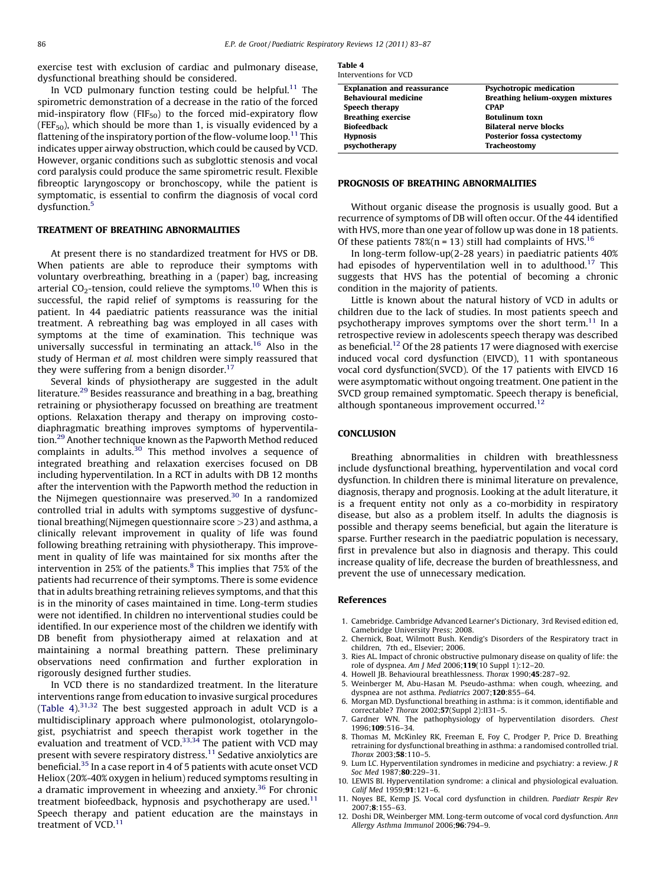<span id="page-3-0"></span>exercise test with exclusion of cardiac and pulmonary disease, dysfunctional breathing should be considered.

In VCD pulmonary function testing could be helpful. $11$  The spirometric demonstration of a decrease in the ratio of the forced mid-inspiratory flow (FIF $_{50}$ ) to the forced mid-expiratory flow (FEF<sub>50</sub>), which should be more than 1, is visually evidenced by a flattening of the inspiratory portion of the flow-volume loop.<sup>11</sup> This indicates upper airway obstruction, which could be caused by VCD. However, organic conditions such as subglottic stenosis and vocal cord paralysis could produce the same spirometric result. Flexible fibreoptic laryngoscopy or bronchoscopy, while the patient is symptomatic, is essential to confirm the diagnosis of vocal cord dysfunction.<sup>5</sup>

#### TREATMENT OF BREATHING ABNORMALITIES

At present there is no standardized treatment for HVS or DB. When patients are able to reproduce their symptoms with voluntary overbreathing, breathing in a (paper) bag, increasing arterial  $CO_2$ -tension, could relieve the symptoms.<sup>10</sup> When this is successful, the rapid relief of symptoms is reassuring for the patient. In 44 paediatric patients reassurance was the initial treatment. A rebreathing bag was employed in all cases with symptoms at the time of examination. This technique was universally successful in terminating an attack.<sup>[16](#page-4-0)</sup> Also in the study of Herman et al. most children were simply reassured that they were suffering from a benign disorder.<sup>[17](#page-4-0)</sup>

Several kinds of physiotherapy are suggested in the adult literature.[29](#page-4-0) Besides reassurance and breathing in a bag, breathing retraining or physiotherapy focussed on breathing are treatment options. Relaxation therapy and therapy on improving costodiaphragmatic breathing improves symptoms of hyperventilation.[29](#page-4-0) Another technique known as the Papworth Method reduced complaints in adults.<sup>[30](#page-4-0)</sup> This method involves a sequence of integrated breathing and relaxation exercises focused on DB including hyperventilation. In a RCT in adults with DB 12 months after the intervention with the Papworth method the reduction in the Nijmegen questionnaire was preserved.<sup>30</sup> In a randomized controlled trial in adults with symptoms suggestive of dysfunctional breathing(Nijmegen questionnaire score >23) and asthma, a clinically relevant improvement in quality of life was found following breathing retraining with physiotherapy. This improvement in quality of life was maintained for six months after the intervention in 25% of the patients. $8$  This implies that 75% of the patients had recurrence of their symptoms. There is some evidence that in adults breathing retraining relieves symptoms, and that this is in the minority of cases maintained in time. Long-term studies were not identified. In children no interventional studies could be identified. In our experience most of the children we identify with DB benefit from physiotherapy aimed at relaxation and at maintaining a normal breathing pattern. These preliminary observations need confirmation and further exploration in rigorously designed further studies.

In VCD there is no standardized treatment. In the literature interventions range from education to invasive surgical procedures (Table 4).[31,32](#page-4-0) The best suggested approach in adult VCD is a multidisciplinary approach where pulmonologist, otolaryngologist, psychiatrist and speech therapist work together in the evaluation and treatment of VCD. $33,34$  The patient with VCD may present with severe respiratory distress.<sup>11</sup> Sedative anxiolytics are beneficial.<sup>[35](#page-4-0)</sup> In a case report in 4 of 5 patients with acute onset VCD Heliox (20%-40% oxygen in helium) reduced symptoms resulting in a dramatic improvement in wheezing and anxiety. $36$  For chronic treatment biofeedback, hypnosis and psychotherapy are used. $11$ Speech therapy and patient education are the mainstays in treatment of  $VCD$ <sup>11</sup>

Table 4 Interventions for VCD

| <b>Psychotropic medication</b><br><b>Explanation and reassurance</b><br><b>Behavioural medicine</b><br>Breathing helium-oxygen mixtures<br>Speech therapy<br><b>CPAP</b><br><b>Breathing exercise</b><br><b>Botulinum toxn</b><br>Biofeedback<br><b>Bilateral nerve blocks</b> |
|--------------------------------------------------------------------------------------------------------------------------------------------------------------------------------------------------------------------------------------------------------------------------------|
|                                                                                                                                                                                                                                                                                |
|                                                                                                                                                                                                                                                                                |
|                                                                                                                                                                                                                                                                                |
|                                                                                                                                                                                                                                                                                |
|                                                                                                                                                                                                                                                                                |
| <b>Posterior fossa cystectomy</b><br><b>Hypnosis</b>                                                                                                                                                                                                                           |
| psychotherapy<br>Tracheostomy                                                                                                                                                                                                                                                  |

# PROGNOSIS OF BREATHING ABNORMALITIES

Without organic disease the prognosis is usually good. But a recurrence of symptoms of DB will often occur. Of the 44 identified with HVS, more than one year of follow up was done in 18 patients. Of these patients  $78\%$ (n = 13) still had complaints of HVS.<sup>[16](#page-4-0)</sup>

In long-term follow-up(2-28 years) in paediatric patients 40% had episodes of hyperventilation well in to adulthood.<sup>17</sup> This suggests that HVS has the potential of becoming a chronic condition in the majority of patients.

Little is known about the natural history of VCD in adults or children due to the lack of studies. In most patients speech and psychotherapy improves symptoms over the short term.<sup>11</sup> In a retrospective review in adolescents speech therapy was described as beneficial.<sup>12</sup> Of the 28 patients 17 were diagnosed with exercise induced vocal cord dysfunction (EIVCD), 11 with spontaneous vocal cord dysfunction(SVCD). Of the 17 patients with EIVCD 16 were asymptomatic without ongoing treatment. One patient in the SVCD group remained symptomatic. Speech therapy is beneficial, although spontaneous improvement occurred.<sup>12</sup>

## **CONCLUSION**

Breathing abnormalities in children with breathlessness include dysfunctional breathing, hyperventilation and vocal cord dysfunction. In children there is minimal literature on prevalence, diagnosis, therapy and prognosis. Looking at the adult literature, it is a frequent entity not only as a co-morbidity in respiratory disease, but also as a problem itself. In adults the diagnosis is possible and therapy seems beneficial, but again the literature is sparse. Further research in the paediatric population is necessary, first in prevalence but also in diagnosis and therapy. This could increase quality of life, decrease the burden of breathlessness, and prevent the use of unnecessary medication.

## References

- 1. Camebridge. Cambridge Advanced Learner's Dictionary, 3rd Revised edition ed, Camebridge University Press; 2008.
- 2. Chernick, Boat, Wilmott Bush. Kendig's Disorders of the Respiratory tract in children, 7th ed., Elsevier; 2006.
- 3. Ries AL. Impact of chronic obstructive pulmonary disease on quality of life: the role of dyspnea. Am J Med 2006;119(10 Suppl 1):12–20.
- 4. Howell JB. Behavioural breathlessness. Thorax 1990;45:287–92.
- 5. Weinberger M, Abu-Hasan M. Pseudo-asthma: when cough, wheezing, and dyspnea are not asthma. Pediatrics 2007;120:855–64.
- 6. Morgan MD. Dysfunctional breathing in asthma: is it common, identifiable and correctable? Thorax 2002;57(Suppl 2):II31-5.
- Gardner WN. The pathophysiology of hyperventilation disorders. Chest 1996;109:516–34.
- Thomas M, McKinley RK, Freeman E, Foy C, Prodger P, Price D. Breathing retraining for dysfunctional breathing in asthma: a randomised controlled trial. Thorax 2003;58:110–5.
- 9. Lum LC. Hyperventilation syndromes in medicine and psychiatry: a review. J R Soc Med 1987;80:229-31.
- 10. LEWIS BI. Hyperventilation syndrome: a clinical and physiological evaluation. Calif Med 1959;91:121-6.
- 11. Noyes BE, Kemp JS. Vocal cord dysfunction in children. Paediatr Respir Rev 2007;8:155–63.
- 12. Doshi DR, Weinberger MM. Long-term outcome of vocal cord dysfunction. Ann Allergy Asthma Immunol 2006;96:794–9.